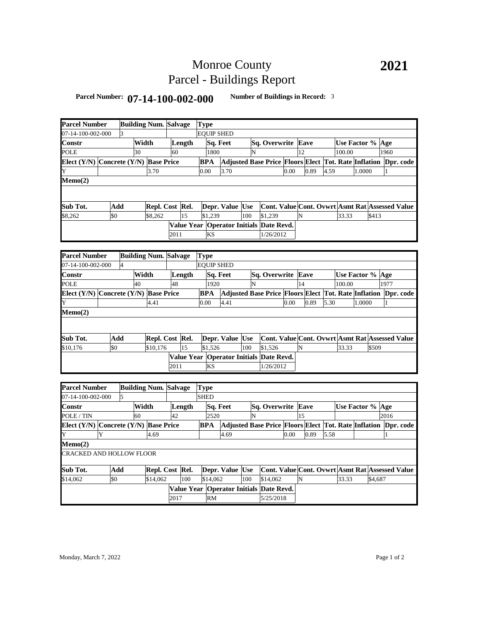## Monroe County Parcel - Buildings Report

## **Parcel Number: 07-14-100-002-000 Number of Buildings in Record:** <sup>3</sup>

| <b>Parcel Number</b>                  |                                       | <b>Building Num. Salvage</b> |         |                              |        |                 |                   | Type                                                 |                                                                |           |         |                                                                |  |      |                                                 |      |                            |        |                                                 |      |  |  |
|---------------------------------------|---------------------------------------|------------------------------|---------|------------------------------|--------|-----------------|-------------------|------------------------------------------------------|----------------------------------------------------------------|-----------|---------|----------------------------------------------------------------|--|------|-------------------------------------------------|------|----------------------------|--------|-------------------------------------------------|------|--|--|
| 07-14-100-002-000                     |                                       |                              |         |                              |        |                 | <b>EQUIP SHED</b> |                                                      |                                                                |           |         |                                                                |  |      |                                                 |      |                            |        |                                                 |      |  |  |
| Constr                                |                                       |                              | Width   |                              |        | Length          |                   | Sq. Feet                                             |                                                                |           |         | Sq. Overwrite Eave                                             |  |      |                                                 |      | Use Factor % Age           |        |                                                 |      |  |  |
| POLE                                  |                                       |                              | 30      |                              | 60     |                 |                   | 1800                                                 |                                                                | N         |         |                                                                |  | 12   |                                                 |      | 100.00                     |        |                                                 | 1960 |  |  |
| Elect (Y/N) Concrete (Y/N) Base Price |                                       |                              |         |                              |        |                 |                   | <b>BPA</b>                                           | Adjusted Base Price Floors Elect Tot. Rate Inflation Dpr. code |           |         |                                                                |  |      |                                                 |      |                            |        |                                                 |      |  |  |
| Y                                     |                                       |                              |         | 3.70                         |        |                 |                   | 0.00                                                 | 3.70                                                           |           |         | 0.00                                                           |  | 0.89 |                                                 | 4.59 |                            |        | 1.0000<br>1                                     |      |  |  |
| Memo(2)                               |                                       |                              |         |                              |        |                 |                   |                                                      |                                                                |           |         |                                                                |  |      |                                                 |      |                            |        |                                                 |      |  |  |
|                                       |                                       |                              |         |                              |        |                 |                   |                                                      |                                                                |           |         |                                                                |  |      |                                                 |      |                            |        |                                                 |      |  |  |
| Sub Tot.                              | Add                                   |                              |         |                              |        | Repl. Cost Rel. |                   |                                                      | Depr. Value Use                                                |           |         |                                                                |  |      |                                                 |      |                            |        | Cont. Value Cont. Ovwrt Asmt Rat Assessed Value |      |  |  |
| \$8,262                               | \$0                                   |                              | \$8,262 |                              | 15     |                 | \$1,239           |                                                      |                                                                | 100       | \$1,239 |                                                                |  | N    |                                                 |      | 33.33                      |        | \$413                                           |      |  |  |
|                                       |                                       |                              |         |                              |        |                 |                   |                                                      | Value Year Operator Initials Date Revd.                        |           |         |                                                                |  |      |                                                 |      |                            |        |                                                 |      |  |  |
|                                       |                                       |                              | 2011    |                              |        | <b>KS</b>       |                   |                                                      |                                                                | 1/26/2012 |         |                                                                |  |      |                                                 |      |                            |        |                                                 |      |  |  |
|                                       |                                       |                              |         |                              |        |                 |                   |                                                      |                                                                |           |         |                                                                |  |      |                                                 |      |                            |        |                                                 |      |  |  |
| <b>Parcel Number</b>                  |                                       |                              |         | <b>Building Num. Salvage</b> |        |                 | <b>Type</b>       |                                                      |                                                                |           |         |                                                                |  |      |                                                 |      |                            |        |                                                 |      |  |  |
| 07-14-100-002-000                     |                                       | 4                            |         |                              |        |                 |                   | <b>EQUIP SHED</b>                                    |                                                                |           |         |                                                                |  |      |                                                 |      |                            |        |                                                 |      |  |  |
| Constr                                |                                       |                              |         | Width                        |        |                 |                   | Sq. Feet                                             |                                                                |           |         |                                                                |  |      |                                                 |      |                            |        |                                                 |      |  |  |
| POLE                                  |                                       |                              | 40      |                              |        | Length          |                   | 1920                                                 |                                                                | N         |         | Sq. Overwrite Eave                                             |  | 14   |                                                 |      | Use Factor % Age<br>100.00 |        |                                                 | 1977 |  |  |
|                                       |                                       |                              |         |                              | 48     |                 |                   |                                                      |                                                                |           |         |                                                                |  |      |                                                 |      |                            |        |                                                 |      |  |  |
| Elect (Y/N) Concrete (Y/N) Base Price |                                       |                              |         |                              |        |                 |                   | <b>BPA</b>                                           | Adjusted Base Price Floors Elect Tot. Rate Inflation Dpr. code |           |         |                                                                |  |      |                                                 |      |                            |        |                                                 |      |  |  |
| Y                                     |                                       |                              |         | 4.41                         |        |                 |                   | 0.00                                                 | 4.41                                                           |           |         | 0.00                                                           |  |      | 0.89<br>5.30                                    |      |                            | 1.0000 |                                                 | 1    |  |  |
| Memo(2)                               |                                       |                              |         |                              |        |                 |                   |                                                      |                                                                |           |         |                                                                |  |      |                                                 |      |                            |        |                                                 |      |  |  |
|                                       |                                       |                              |         |                              |        |                 |                   |                                                      |                                                                |           |         |                                                                |  |      |                                                 |      |                            |        |                                                 |      |  |  |
| Sub Tot.                              |                                       | Add                          |         |                              |        | Repl. Cost Rel. |                   |                                                      | Depr. Value Use                                                |           |         |                                                                |  |      | Cont. Value Cont. Ovwrt Asmt Rat Assessed Value |      |                            |        |                                                 |      |  |  |
| \$10,176                              | \$0                                   |                              |         | \$10,176                     |        | 15              |                   | \$1,526                                              |                                                                | 100       |         | \$1,526                                                        |  | N    |                                                 |      | 33.33                      |        | \$509                                           |      |  |  |
|                                       |                                       |                              |         |                              |        |                 |                   |                                                      |                                                                |           |         | Value Year Operator Initials Date Revd.                        |  |      |                                                 |      |                            |        |                                                 |      |  |  |
|                                       |                                       |                              |         |                              | 2011   |                 |                   | <b>KS</b>                                            |                                                                |           |         | 1/26/2012                                                      |  |      |                                                 |      |                            |        |                                                 |      |  |  |
|                                       |                                       |                              |         |                              |        |                 |                   |                                                      |                                                                |           |         |                                                                |  |      |                                                 |      |                            |        |                                                 |      |  |  |
|                                       |                                       |                              |         |                              |        |                 |                   |                                                      |                                                                |           |         |                                                                |  |      |                                                 |      |                            |        |                                                 |      |  |  |
| <b>Parcel Number</b>                  |                                       |                              |         | <b>Building Num. Salvage</b> |        |                 | <b>Type</b>       |                                                      |                                                                |           |         |                                                                |  |      |                                                 |      |                            |        |                                                 |      |  |  |
| 07-14-100-002-000                     |                                       | 5                            |         |                              |        |                 |                   | <b>SHED</b>                                          |                                                                |           |         |                                                                |  |      |                                                 |      |                            |        |                                                 |      |  |  |
| Constr                                |                                       |                              | Width   |                              | Length |                 | Sq. Feet          |                                                      |                                                                |           |         | Sq. Overwrite                                                  |  | Eave |                                                 |      | Use Factor % Age           |        |                                                 |      |  |  |
| POLE / TIN                            |                                       |                              |         | 60                           |        | 42              |                   | 2520                                                 |                                                                | N         |         |                                                                |  | 15   |                                                 |      |                            |        |                                                 | 2016 |  |  |
|                                       | Elect (Y/N) Concrete (Y/N) Base Price |                              |         |                              |        |                 |                   | BPA                                                  |                                                                |           |         | Adjusted Base Price Floors Elect Tot. Rate Inflation Dpr. code |  |      |                                                 |      |                            |        |                                                 |      |  |  |
| Y                                     | Y                                     |                              |         | 4.69                         |        |                 |                   | 4.69                                                 |                                                                |           |         | 0.00                                                           |  |      | 0.89<br>5.58                                    |      |                            |        |                                                 | 1    |  |  |
| Memo(2)                               |                                       |                              |         |                              |        |                 |                   |                                                      |                                                                |           |         |                                                                |  |      |                                                 |      |                            |        |                                                 |      |  |  |
| CRACKED AND HOLLOW FLOOR              |                                       |                              |         |                              |        |                 |                   |                                                      |                                                                |           |         |                                                                |  |      |                                                 |      |                            |        |                                                 |      |  |  |
| Sub Tot.<br>Add                       |                                       |                              |         | Repl. Cost Rel.              |        |                 |                   |                                                      | Depr. Value Use                                                |           |         |                                                                |  |      | Cont. Value Cont. Ovwrt Asmt Rat Assessed Value |      |                            |        |                                                 |      |  |  |
| \$14,062                              | \$0                                   |                              |         | \$14,062                     |        | 100             |                   | \$14,062                                             |                                                                | 100       |         | \$14,062                                                       |  | N    |                                                 |      | 33.33                      |        | \$4,687                                         |      |  |  |
|                                       |                                       |                              |         |                              |        |                 |                   |                                                      |                                                                |           |         |                                                                |  |      |                                                 |      |                            |        |                                                 |      |  |  |
|                                       |                                       |                              |         |                              | 2017   |                 |                   | Value Year Operator Initials Date Revd.<br><b>RM</b> |                                                                |           |         | 5/25/2018                                                      |  |      |                                                 |      |                            |        |                                                 |      |  |  |
|                                       |                                       |                              |         |                              |        |                 |                   |                                                      |                                                                |           |         |                                                                |  |      |                                                 |      |                            |        |                                                 |      |  |  |